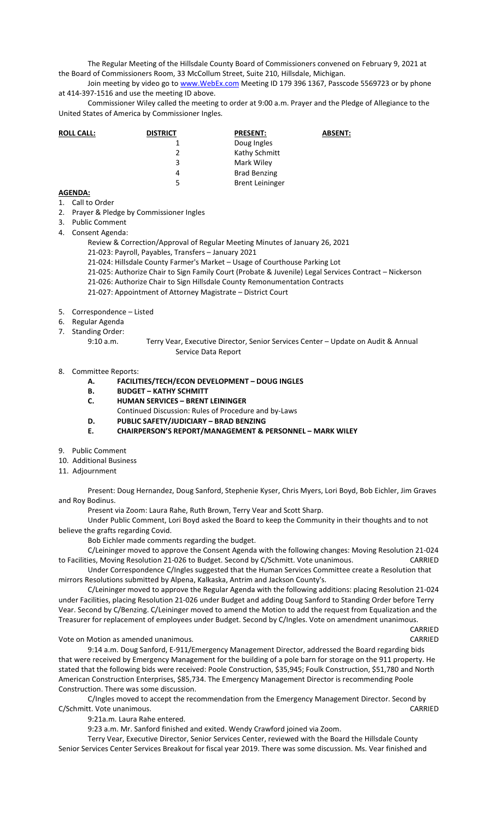The Regular Meeting of the Hillsdale County Board of Commissioners convened on February 9, 2021 at the Board of Commissioners Room, 33 McCollum Street, Suite 210, Hillsdale, Michigan.

Join meeting by video go to www. WebEx.com Meeting ID 179 396 1367, Passcode 5569723 or by phone at 414-397-1516 and use the meeting ID above.

Commissioner Wiley called the meeting to order at 9:00 a.m. Prayer and the Pledge of Allegiance to the United States of America by Commissioner Ingles.

| <b>ROLL CALL:</b> | <b>DISTRICT</b> | <b>PRESENT:</b>        | <b>ABSENT:</b> |
|-------------------|-----------------|------------------------|----------------|
|                   |                 | Doug Ingles            |                |
|                   |                 | Kathy Schmitt          |                |
|                   | 3               | Mark Wiley             |                |
|                   | 4               | <b>Brad Benzing</b>    |                |
|                   | -5.             | <b>Brent Leininger</b> |                |

## **AGENDA:**

- 1. Call to Order
- 2. Prayer & Pledge by Commissioner Ingles
- 3. Public Comment
- 4. Consent Agenda:

Review & Correction/Approval of Regular Meeting Minutes of January 26, 2021

- 21-023: Payroll, Payables, Transfers January 2021
- 21-024: Hillsdale County Farmer's Market Usage of Courthouse Parking Lot
- 21-025: Authorize Chair to Sign Family Court (Probate & Juvenile) Legal Services Contract Nickerson
- 21-026: Authorize Chair to Sign Hillsdale County Remonumentation Contracts
- 21-027: Appointment of Attorney Magistrate District Court
- 5. Correspondence Listed
- 6. Regular Agenda
- 7. Standing Order:
	- 9:10 a.m. Terry Vear, Executive Director, Senior Services Center Update on Audit & Annual Service Data Report
- 8. Committee Reports:
	- **A. FACILITIES/TECH/ECON DEVELOPMENT DOUG INGLES**
	- **B. BUDGET KATHY SCHMITT**
	- **C. HUMAN SERVICES BRENT LEININGER**
	- Continued Discussion: Rules of Procedure and by-Laws
	- **D. PUBLIC SAFETY/JUDICIARY BRAD BENZING**
	- **E. CHAIRPERSON'S REPORT/MANAGEMENT & PERSONNEL MARK WILEY**
- 9. Public Comment
- 10. Additional Business
- 11. Adjournment

Present: Doug Hernandez, Doug Sanford, Stephenie Kyser, Chris Myers, Lori Boyd, Bob Eichler, Jim Graves and Roy Bodinus.

Present via Zoom: Laura Rahe, Ruth Brown, Terry Vear and Scott Sharp.

Under Public Comment, Lori Boyd asked the Board to keep the Community in their thoughts and to not believe the grafts regarding Covid.

Bob Eichler made comments regarding the budget.

C/Leininger moved to approve the Consent Agenda with the following changes: Moving Resolution 21-024 to Facilities, Moving Resolution 21-026 to Budget. Second by C/Schmitt. Vote unanimous. CARRIED

Under Correspondence C/Ingles suggested that the Human Services Committee create a Resolution that mirrors Resolutions submitted by Alpena, Kalkaska, Antrim and Jackson County's.

C/Leininger moved to approve the Regular Agenda with the following additions: placing Resolution 21-024 under Facilities, placing Resolution 21-026 under Budget and adding Doug Sanford to Standing Order before Terry Vear. Second by C/Benzing. C/Leininger moved to amend the Motion to add the request from Equalization and the Treasurer for replacement of employees under Budget. Second by C/Ingles. Vote on amendment unanimous.

CARRIED

Vote on Motion as amended unanimous. CARRIED

9:14 a.m. Doug Sanford, E-911/Emergency Management Director, addressed the Board regarding bids that were received by Emergency Management for the building of a pole barn for storage on the 911 property. He stated that the following bids were received: Poole Construction, \$35,945; Foulk Construction, \$51,780 and North American Construction Enterprises, \$85,734. The Emergency Management Director is recommending Poole Construction. There was some discussion.

C/Ingles moved to accept the recommendation from the Emergency Management Director. Second by C/Schmitt. Vote unanimous. CARRIED

9:21a.m. Laura Rahe entered.

9:23 a.m. Mr. Sanford finished and exited. Wendy Crawford joined via Zoom.

Terry Vear, Executive Director, Senior Services Center, reviewed with the Board the Hillsdale County Senior Services Center Services Breakout for fiscal year 2019. There was some discussion. Ms. Vear finished and